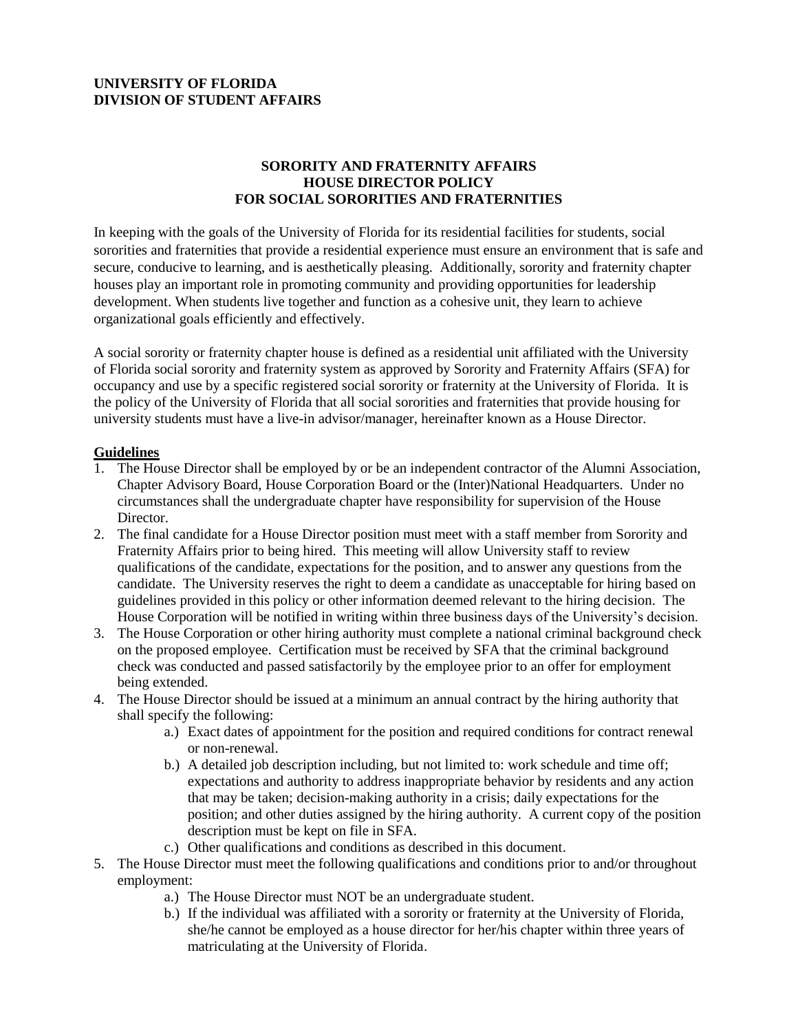## **UNIVERSITY OF FLORIDA DIVISION OF STUDENT AFFAIRS**

## **SORORITY AND FRATERNITY AFFAIRS HOUSE DIRECTOR POLICY FOR SOCIAL SORORITIES AND FRATERNITIES**

In keeping with the goals of the University of Florida for its residential facilities for students, social sororities and fraternities that provide a residential experience must ensure an environment that is safe and secure, conducive to learning, and is aesthetically pleasing. Additionally, sorority and fraternity chapter houses play an important role in promoting community and providing opportunities for leadership development. When students live together and function as a cohesive unit, they learn to achieve organizational goals efficiently and effectively.

A social sorority or fraternity chapter house is defined as a residential unit affiliated with the University of Florida social sorority and fraternity system as approved by Sorority and Fraternity Affairs (SFA) for occupancy and use by a specific registered social sorority or fraternity at the University of Florida. It is the policy of the University of Florida that all social sororities and fraternities that provide housing for university students must have a live-in advisor/manager, hereinafter known as a House Director.

## **Guidelines**

- 1. The House Director shall be employed by or be an independent contractor of the Alumni Association, Chapter Advisory Board, House Corporation Board or the (Inter)National Headquarters. Under no circumstances shall the undergraduate chapter have responsibility for supervision of the House Director.
- 2. The final candidate for a House Director position must meet with a staff member from Sorority and Fraternity Affairs prior to being hired. This meeting will allow University staff to review qualifications of the candidate, expectations for the position, and to answer any questions from the candidate. The University reserves the right to deem a candidate as unacceptable for hiring based on guidelines provided in this policy or other information deemed relevant to the hiring decision. The House Corporation will be notified in writing within three business days of the University's decision.
- 3. The House Corporation or other hiring authority must complete a national criminal background check on the proposed employee. Certification must be received by SFA that the criminal background check was conducted and passed satisfactorily by the employee prior to an offer for employment being extended.
- 4. The House Director should be issued at a minimum an annual contract by the hiring authority that shall specify the following:
	- a.) Exact dates of appointment for the position and required conditions for contract renewal or non-renewal.
	- b.) A detailed job description including, but not limited to: work schedule and time off; expectations and authority to address inappropriate behavior by residents and any action that may be taken; decision-making authority in a crisis; daily expectations for the position; and other duties assigned by the hiring authority. A current copy of the position description must be kept on file in SFA.
	- c.) Other qualifications and conditions as described in this document.
- 5. The House Director must meet the following qualifications and conditions prior to and/or throughout employment:
	- a.) The House Director must NOT be an undergraduate student.
	- b.) If the individual was affiliated with a sorority or fraternity at the University of Florida, she/he cannot be employed as a house director for her/his chapter within three years of matriculating at the University of Florida.